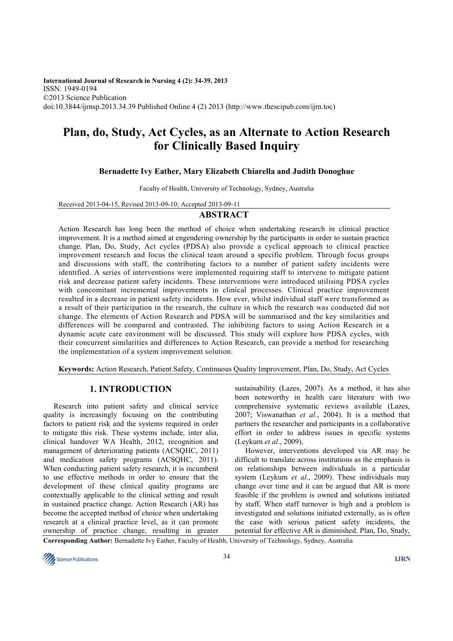**International Journal of Research in Nursing 4 (2): 34-39, 2013**  ISSN: 1949-0194 ©2013 Science Publication doi:10.3844/ijrnsp.2013.34.39 Published Online 4 (2) 2013 (http://www.thescipub.com/ijrn.toc)

# **Plan, do, Study, Act Cycles, as an Alternate to Action Research for Clinically Based Inquiry**

## **Bernadette Ivy Eather, Mary Elizabeth Chiarella and Judith Donoghue**

Faculty of Health, University of Technology, Sydney, Australia

Received 2013-04-15, Revised 2013-09-10; Accepted 2013-09-11

# **ABSTRACT**

Action Research has long been the method of choice when undertaking research in clinical practice improvement. It is a method aimed at engendering ownership by the participants in order to sustain practice change. Plan, Do, Study, Act cycles (PDSA) also provide a cyclical approach to clinical practice improvement research and focus the clinical team around a specific problem. Through focus groups and discussions with staff, the contributing factors to a number of patient safety incidents were identified. A series of interventions were implemented requiring staff to intervene to mitigate patient risk and decrease patient safety incidents. These interventions were introduced utilising PDSA cycles with concomitant incremental improvements in clinical processes. Clinical practice improvement resulted in a decrease in patient safety incidents. How ever, whilst individual staff were transformed as a result of their participation in the research, the culture in which the research was conducted did not change. The elements of Action Research and PDSA will be summarised and the key similarities and differences will be compared and contrasted. The inhibiting factors to using Action Research in a dynamic acute care environment will be discussed. This study will explore how PDSA cycles, with their concurrent similarities and differences to Action Research, can provide a method for researching the implementation of a system improvement solution.

**Keywords:** Action Research, Patient Safety, Continuous Quality Improvement, Plan, Do, Study, Act Cycles

# **1. INTRODUCTION**

Research into patient safety and clinical service quality is increasingly focusing on the contributing factors to patient risk and the systems required in order to mitigate this risk. These systems include, inter alia, clinical handover WA Health, 2012, recognition and management of deteriorating patients (ACSQHC, 2011) and medication safety programs (ACSQHC, 2011). When conducting patient safety research, it is incumbent to use effective methods in order to ensure that the development of these clinical quality programs are contextually applicable to the clinical setting and result in sustained practice change. Action Research (AR) has become the accepted method of choice when undertaking research at a clinical practice level, as it can promote ownership of practice change, resulting in greater

sustainability (Lazes, 2007). As a method, it has also been noteworthy in health care literature with two comprehensive systematic reviews available (Lazes, 2007; Viswanathan *et al*., 2004). It is a method that partners the researcher and participants in a collaborative effort in order to address issues in specific systems (Leykum *et al*., 2009).

However, interventions developed via AR may be difficult to translate across institutions as the emphasis is on relationships between individuals in a particular system (Leykum *et al*., 2009). These individuals may change over time and it can be argued that AR is more feasible if the problem is owned and solutions initiated by staff. When staff turnover is high and a problem is investigated and solutions initiated externally, as is often the case with serious patient safety incidents, the potential for effective AR is diminished. Plan, Do, Study,

**Corresponding Author:** Bernadette Ivy Eather, Faculty of Health, University of Technology, Sydney, Australia

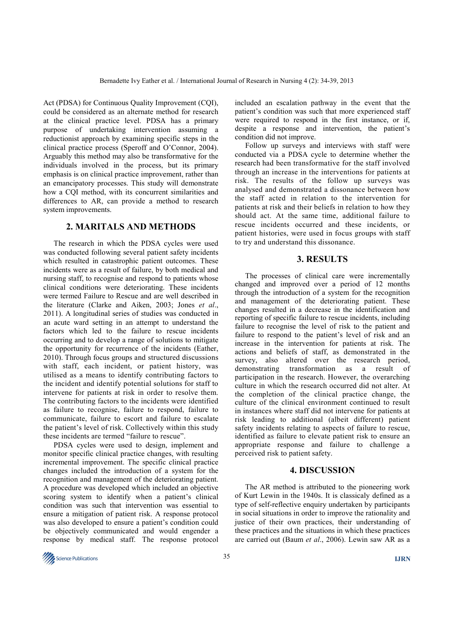Act (PDSA) for Continuous Quality Improvement (CQI), could be considered as an alternate method for research at the clinical practice level. PDSA has a primary purpose of undertaking intervention assuming a reductionist approach by examining specific steps in the clinical practice process (Speroff and O'Connor, 2004). Arguably this method may also be transformative for the individuals involved in the process, but its primary emphasis is on clinical practice improvement, rather than an emancipatory processes. This study will demonstrate how a CQI method, with its concurrent similarities and differences to AR, can provide a method to research system improvements.

## **2. MARITALS AND METHODS**

The research in which the PDSA cycles were used was conducted following several patient safety incidents which resulted in catastrophic patient outcomes. These incidents were as a result of failure, by both medical and nursing staff, to recognise and respond to patients whose clinical conditions were deteriorating. These incidents were termed Failure to Rescue and are well described in the literature (Clarke and Aiken, 2003; Jones *et al*., 2011). A longitudinal series of studies was conducted in an acute ward setting in an attempt to understand the factors which led to the failure to rescue incidents occurring and to develop a range of solutions to mitigate the opportunity for recurrence of the incidents (Eather, 2010). Through focus groups and structured discussions with staff, each incident, or patient history, was utilised as a means to identify contributing factors to the incident and identify potential solutions for staff to intervene for patients at risk in order to resolve them. The contributing factors to the incidents were identified as failure to recognise, failure to respond, failure to communicate, failure to escort and failure to escalate the patient's level of risk. Collectively within this study these incidents are termed "failure to rescue".

PDSA cycles were used to design, implement and monitor specific clinical practice changes, with resulting incremental improvement. The specific clinical practice changes included the introduction of a system for the recognition and management of the deteriorating patient. A procedure was developed which included an objective scoring system to identify when a patient's clinical condition was such that intervention was essential to ensure a mitigation of patient risk. A response protocol was also developed to ensure a patient's condition could be objectively communicated and would engender a response by medical staff. The response protocol included an escalation pathway in the event that the patient's condition was such that more experienced staff were required to respond in the first instance, or if, despite a response and intervention, the patient's condition did not improve.

Follow up surveys and interviews with staff were conducted via a PDSA cycle to determine whether the research had been transformative for the staff involved through an increase in the interventions for patients at risk. The results of the follow up surveys was analysed and demonstrated a dissonance between how the staff acted in relation to the intervention for patients at risk and their beliefs in relation to how they should act. At the same time, additional failure to rescue incidents occurred and these incidents, or patient histories, were used in focus groups with staff to try and understand this dissonance.

## **3. RESULTS**

The processes of clinical care were incrementally changed and improved over a period of 12 months through the introduction of a system for the recognition and management of the deteriorating patient. These changes resulted in a decrease in the identification and reporting of specific failure to rescue incidents, including failure to recognise the level of risk to the patient and failure to respond to the patient's level of risk and an increase in the intervention for patients at risk. The actions and beliefs of staff, as demonstrated in the survey, also altered over the research period, demonstrating transformation as a result of participation in the research. However, the overarching culture in which the research occurred did not alter. At the completion of the clinical practice change, the culture of the clinical environment continued to result in instances where staff did not intervene for patients at risk leading to additional (albeit different) patient safety incidents relating to aspects of failure to rescue, identified as failure to elevate patient risk to ensure an appropriate response and failure to challenge a perceived risk to patient safety.

#### **4. DISCUSSION**

The AR method is attributed to the pioneering work of Kurt Lewin in the 1940s. It is classicaly defined as a type of self-reflective enquiry undertaken by participants in social situations in order to improve the rationality and justice of their own practices, their understanding of these practices and the situations in which these practices are carried out (Baum *et al*., 2006). Lewin saw AR as a

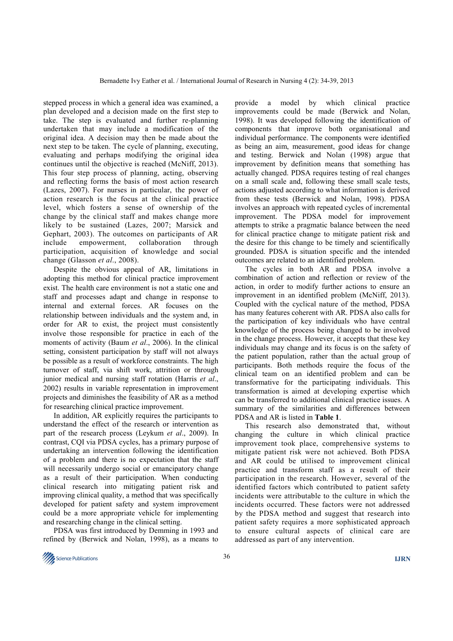stepped process in which a general idea was examined, a plan developed and a decision made on the first step to take. The step is evaluated and further re-planning undertaken that may include a modification of the original idea. A decision may then be made about the next step to be taken. The cycle of planning, executing, evaluating and perhaps modifying the original idea continues until the objective is reached (McNiff, 2013). This four step process of planning, acting, observing and reflecting forms the basis of most action research (Lazes, 2007). For nurses in particular, the power of action research is the focus at the clinical practice level, which fosters a sense of ownership of the change by the clinical staff and makes change more likely to be sustained (Lazes, 2007; Marsick and Gephart, 2003). The outcomes on participants of AR include empowerment, collaboration through participation, acquisition of knowledge and social change (Glasson *et al*., 2008).

Despite the obvious appeal of AR, limitations in adopting this method for clinical practice improvement exist. The health care environment is not a static one and staff and processes adapt and change in response to internal and external forces. AR focuses on the relationship between individuals and the system and, in order for AR to exist, the project must consistently involve those responsible for practice in each of the moments of activity (Baum *et al*., 2006). In the clinical setting, consistent participation by staff will not always be possible as a result of workforce constraints. The high turnover of staff, via shift work, attrition or through junior medical and nursing staff rotation (Harris *et al*., 2002) results in variable representation in improvement projects and diminishes the feasibility of AR as a method for researching clinical practice improvement.

In addition, AR explicitly requires the participants to understand the effect of the research or intervention as part of the research process (Leykum *et al*., 2009). In contrast, CQI via PDSA cycles, has a primary purpose of undertaking an intervention following the identification of a problem and there is no expectation that the staff will necessarily undergo social or emancipatory change as a result of their participation. When conducting clinical research into mitigating patient risk and improving clinical quality, a method that was specifically developed for patient safety and system improvement could be a more appropriate vehicle for implementing and researching change in the clinical setting.

PDSA was first introduced by Demming in 1993 and refined by (Berwick and Nolan, 1998), as a means to

provide a model by which clinical practice improvements could be made (Berwick and Nolan, 1998). It was developed following the identification of components that improve both organisational and individual performance. The components were identified as being an aim, measurement, good ideas for change and testing. Berwick and Nolan (1998) argue that improvement by definition means that something has actually changed. PDSA requires testing of real changes on a small scale and, following these small scale tests, actions adjusted according to what information is derived from these tests (Berwick and Nolan, 1998). PDSA involves an approach with repeated cycles of incremental improvement. The PDSA model for improvement attempts to strike a pragmatic balance between the need for clinical practice change to mitigate patient risk and the desire for this change to be timely and scientifically grounded. PDSA is situation specific and the intended outcomes are related to an identified problem.

The cycles in both AR and PDSA involve a combination of action and reflection or review of the action, in order to modify further actions to ensure an improvement in an identified problem (McNiff, 2013). Coupled with the cyclical nature of the method, PDSA has many features coherent with AR. PDSA also calls for the participation of key individuals who have central knowledge of the process being changed to be involved in the change process. However, it accepts that these key individuals may change and its focus is on the safety of the patient population, rather than the actual group of participants. Both methods require the focus of the clinical team on an identified problem and can be transformative for the participating individuals. This transformation is aimed at developing expertise which can be transferred to additional clinical practice issues. A summary of the similarities and differences between PDSA and AR is listed in **Table 1**.

This research also demonstrated that, without changing the culture in which clinical practice improvement took place, comprehensive systems to mitigate patient risk were not achieved. Both PDSA and AR could be utilised to improvement clinical practice and transform staff as a result of their participation in the research. However, several of the identified factors which contributed to patient safety incidents were attributable to the culture in which the incidents occurred. These factors were not addressed by the PDSA method and suggest that research into patient safety requires a more sophisticated approach to ensure cultural aspects of clinical care are addressed as part of any intervention.

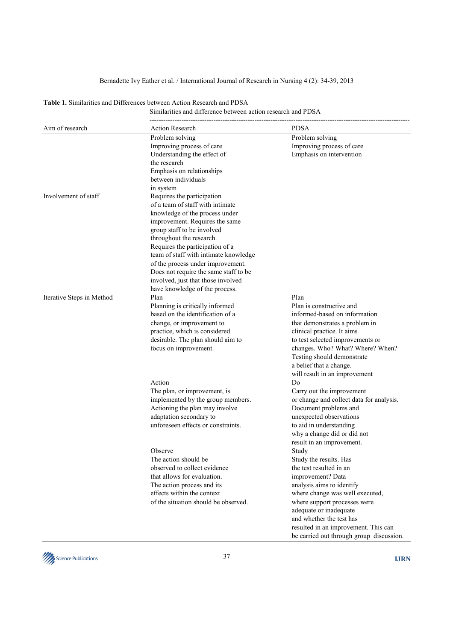Bernadette Ivy Eather et al. / International Journal of Research in Nursing 4 (2): 34-39, 2013

|                           | Similarities and difference between action research and PDSA |                                          |
|---------------------------|--------------------------------------------------------------|------------------------------------------|
| Aim of research           | <b>Action Research</b>                                       | <b>PDSA</b>                              |
|                           | Problem solving                                              | Problem solving                          |
|                           | Improving process of care                                    | Improving process of care                |
|                           | Understanding the effect of                                  | Emphasis on intervention                 |
|                           | the research                                                 |                                          |
|                           | Emphasis on relationships                                    |                                          |
|                           | between individuals                                          |                                          |
|                           | in system                                                    |                                          |
| Involvement of staff      | Requires the participation                                   |                                          |
|                           | of a team of staff with intimate                             |                                          |
|                           | knowledge of the process under                               |                                          |
|                           | improvement. Requires the same                               |                                          |
|                           | group staff to be involved                                   |                                          |
|                           | throughout the research.                                     |                                          |
|                           | Requires the participation of a                              |                                          |
|                           | team of staff with intimate knowledge                        |                                          |
|                           | of the process under improvement.                            |                                          |
|                           | Does not require the same staff to be                        |                                          |
|                           | involved, just that those involved                           |                                          |
|                           | have knowledge of the process.                               |                                          |
| Iterative Steps in Method | Plan                                                         | Plan                                     |
|                           | Planning is critically informed                              | Plan is constructive and                 |
|                           | based on the identification of a                             | informed-based on information            |
|                           | change, or improvement to                                    | that demonstrates a problem in           |
|                           | practice, which is considered                                | clinical practice. It aims               |
|                           | desirable. The plan should aim to                            | to test selected improvements or         |
|                           | focus on improvement.                                        | changes. Who? What? Where? When?         |
|                           |                                                              | Testing should demonstrate               |
|                           |                                                              | a belief that a change.                  |
|                           |                                                              | will result in an improvement            |
|                           | Action                                                       | Do                                       |
|                           | The plan, or improvement, is                                 | Carry out the improvement                |
|                           | implemented by the group members.                            | or change and collect data for analysis. |
|                           | Actioning the plan may involve                               | Document problems and                    |
|                           | adaptation secondary to                                      | unexpected observations                  |
|                           | unforeseen effects or constraints.                           | to aid in understanding                  |
|                           |                                                              | why a change did or did not              |
|                           |                                                              | result in an improvement.                |
|                           | Observe                                                      | Study                                    |
|                           | The action should be                                         | Study the results. Has                   |
|                           | observed to collect evidence                                 | the test resulted in an                  |
|                           | that allows for evaluation.                                  | improvement? Data                        |
|                           | The action process and its                                   | analysis aims to identify                |
|                           | effects within the context                                   | where change was well executed,          |
|                           | of the situation should be observed.                         | where support processes were             |
|                           |                                                              | adequate or inadequate                   |
|                           |                                                              | and whether the test has                 |
|                           |                                                              | resulted in an improvement. This can     |
|                           |                                                              | be carried out through group discussion. |

### **Table 1.** Similarities and Differences between Action Research and PDSA

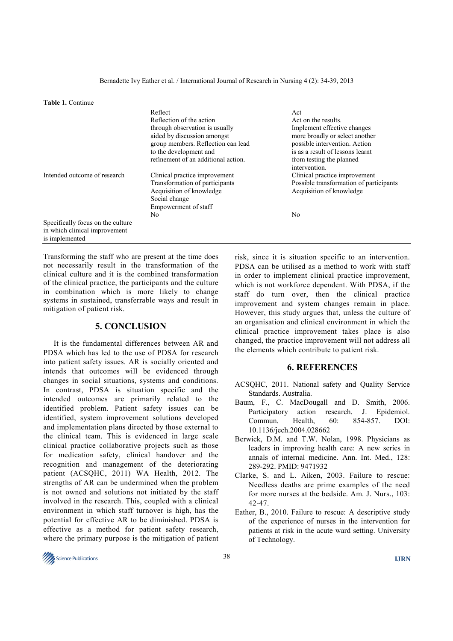Bernadette Ivy Eather et al. / International Journal of Research in Nursing 4 (2): 34-39, 2013

**Table 1.** Continue

| <b>Lavit 1.</b> Collinius                                                            |                                     |                                           |
|--------------------------------------------------------------------------------------|-------------------------------------|-------------------------------------------|
|                                                                                      | Reflect                             | Act                                       |
|                                                                                      | Reflection of the action            | Act on the results.                       |
|                                                                                      | through observation is usually      | Implement effective changes               |
|                                                                                      | aided by discussion amongst         | more broadly or select another            |
|                                                                                      | group members. Reflection can lead  | possible intervention. Action             |
|                                                                                      | to the development and              | is as a result of lessons learnt          |
|                                                                                      | refinement of an additional action. | from testing the planned<br>intervention. |
| Intended outcome of research                                                         | Clinical practice improvement       | Clinical practice improvement             |
|                                                                                      | Transformation of participants      | Possible transformation of participants   |
|                                                                                      | Acquisition of knowledge            | Acquisition of knowledge                  |
|                                                                                      | Social change                       |                                           |
|                                                                                      | Empowerment of staff                |                                           |
|                                                                                      | No.                                 | No                                        |
| Specifically focus on the culture<br>in which clinical improvement<br>is implemented |                                     |                                           |

Transforming the staff who are present at the time does not necessarily result in the transformation of the clinical culture and it is the combined transformation of the clinical practice, the participants and the culture in combination which is more likely to change systems in sustained, transferrable ways and result in mitigation of patient risk.

#### **5. CONCLUSION**

It is the fundamental differences between AR and PDSA which has led to the use of PDSA for research into patient safety issues. AR is socially oriented and intends that outcomes will be evidenced through changes in social situations, systems and conditions. In contrast, PDSA is situation specific and the intended outcomes are primarily related to the identified problem. Patient safety issues can be identified, system improvement solutions developed and implementation plans directed by those external to the clinical team. This is evidenced in large scale clinical practice collaborative projects such as those for medication safety, clinical handover and the recognition and management of the deteriorating patient (ACSQHC, 2011) WA Health, 2012. The strengths of AR can be undermined when the problem is not owned and solutions not initiated by the staff involved in the research. This, coupled with a clinical environment in which staff turnover is high, has the potential for effective AR to be diminished. PDSA is effective as a method for patient safety research, where the primary purpose is the mitigation of patient

risk, since it is situation specific to an intervention. PDSA can be utilised as a method to work with staff in order to implement clinical practice improvement, which is not workforce dependent. With PDSA, if the staff do turn over, then the clinical practice improvement and system changes remain in place. However, this study argues that, unless the culture of an organisation and clinical environment in which the clinical practice improvement takes place is also changed, the practice improvement will not address all the elements which contribute to patient risk.

### **6. REFERENCES**

- ACSQHC, 2011. National safety and Quality Service Standards. Australia.
- Baum, F., C. MacDougall and D. Smith, 2006. Participatory action research. J. Epidemiol. Commun. Health, 60: 854-857. DOI: 10.1136/jech.2004.028662
- Berwick, D.M. and T.W. Nolan, 1998. Physicians as leaders in improving health care: A new series in annals of internal medicine. Ann. Int. Med., 128: 289-292. PMID: 9471932
- Clarke, S. and L. Aiken, 2003. Failure to rescue: Needless deaths are prime examples of the need for more nurses at the bedside. Am. J. Nurs., 103: 42-47.
- Eather, B., 2010. Failure to rescue: A descriptive study of the experience of nurses in the intervention for patients at risk in the acute ward setting. University of Technology.